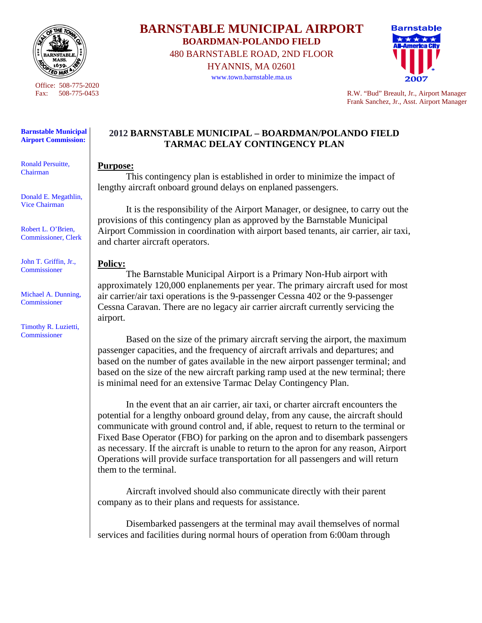

Office: 508-775-2020

## **Barnstable Municipal Airport Commission:**

Ronald Persuitte, Chairman

Donald E. Megathlin, Vice Chairman

Robert L. O'Brien, Commissioner, Clerk

John T. Griffin, Jr., **Commissioner** 

Michael A. Dunning, Commissioner

Timothy R. Luzietti, Commissioner

**BARNSTABLE MUNICIPAL AIRPORT BOARDMAN-POLANDO FIELD**  480 BARNSTABLE ROAD, 2ND FLOOR HYANNIS, MA 02601

www.town.barnstable.ma.us



Fax: 508-775-0453 R.W. "Bud" Breault, Jr., Airport Manager Frank Sanchez, Jr., Asst. Airport Manager

## **2012 BARNSTABLE MUNICIPAL – BOARDMAN/POLANDO FIELD TARMAC DELAY CONTINGENCY PLAN**

## **Purpose:**

 This contingency plan is established in order to minimize the impact of lengthy aircraft onboard ground delays on enplaned passengers.

 It is the responsibility of the Airport Manager, or designee, to carry out the provisions of this contingency plan as approved by the Barnstable Municipal Airport Commission in coordination with airport based tenants, air carrier, air taxi, and charter aircraft operators.

## **Policy:**

 The Barnstable Municipal Airport is a Primary Non-Hub airport with approximately 120,000 enplanements per year. The primary aircraft used for most air carrier/air taxi operations is the 9-passenger Cessna 402 or the 9-passenger Cessna Caravan. There are no legacy air carrier aircraft currently servicing the airport.

 Based on the size of the primary aircraft serving the airport, the maximum passenger capacities, and the frequency of aircraft arrivals and departures; and based on the number of gates available in the new airport passenger terminal; and based on the size of the new aircraft parking ramp used at the new terminal; there is minimal need for an extensive Tarmac Delay Contingency Plan.

 In the event that an air carrier, air taxi, or charter aircraft encounters the potential for a lengthy onboard ground delay, from any cause, the aircraft should communicate with ground control and, if able, request to return to the terminal or Fixed Base Operator (FBO) for parking on the apron and to disembark passengers as necessary. If the aircraft is unable to return to the apron for any reason, Airport Operations will provide surface transportation for all passengers and will return them to the terminal.

 Aircraft involved should also communicate directly with their parent company as to their plans and requests for assistance.

 Disembarked passengers at the terminal may avail themselves of normal services and facilities during normal hours of operation from 6:00am through